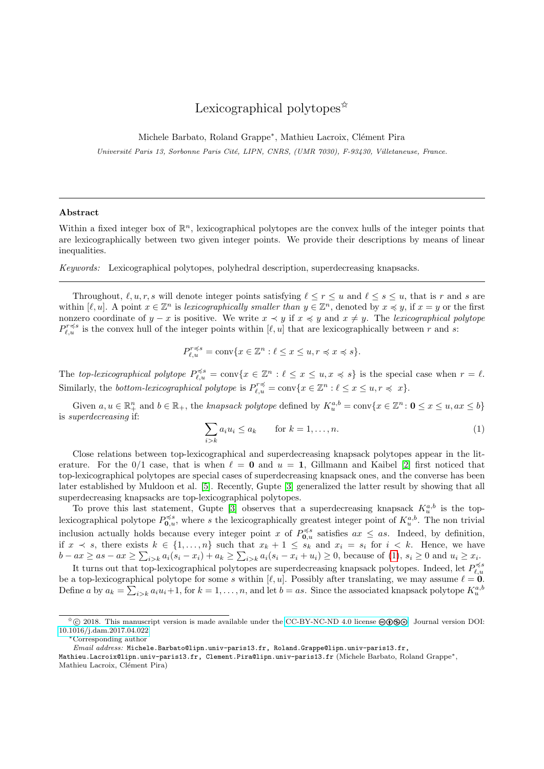# Lexicographical polytopes<sup> $\hat{\mathbf{x}}$ </sup>

Michele Barbato, Roland Grappe<sup>∗</sup>, Mathieu Lacroix, Clément Pira

Université Paris 13, Sorbonne Paris Cité, LIPN, CNRS, (UMR 7030), F-93430, Villetaneuse, France.

### Abstract

Within a fixed integer box of  $\mathbb{R}^n$ , lexicographical polytopes are the convex hulls of the integer points that are lexicographically between two given integer points. We provide their descriptions by means of linear inequalities.

Keywords: Lexicographical polytopes, polyhedral description, superdecreasing knapsacks.

Throughout,  $\ell, u, r, s$  will denote integer points satisfying  $\ell \leq r \leq u$  and  $\ell \leq s \leq u$ , that is r and s are within  $[\ell, u]$ . A point  $x \in \mathbb{Z}^n$  is lexicographically smaller than  $y \in \mathbb{Z}^n$ , denoted by  $x \preccurlyeq y$ , if  $x = y$  or the first nonzero coordinate of y – x is positive. We write  $x \prec y$  if  $x \preccurlyeq y$  and  $x \neq y$ . The lexicographical polytope  $P_{\ell,u}^{r\preccurlyeq s}$  is the convex hull of the integer points within  $[\ell, u]$  that are lexicographically between r and s:

$$
P_{\ell,u}^{r \preccurlyeq s} = \text{conv}\{x \in \mathbb{Z}^n : \ell \le x \le u, r \preccurlyeq x \preccurlyeq s\}.
$$

The top-lexicographical polytope  $P_{\ell,u}^{\preccurlyeq s} = \text{conv}\{x \in \mathbb{Z}^n : \ell \leq x \leq u, x \preccurlyeq s\}$  is the special case when  $r = \ell$ . Similarly, the *bottom-lexicographical polytope* is  $P_{\ell,u}^{\tau \preccurlyeq} = \text{conv}\{x \in \mathbb{Z}^n : \ell \leq x \leq u, r \preccurlyeq x\}.$ 

Given  $a, u \in \mathbb{R}_+^n$  and  $b \in \mathbb{R}_+$ , the knapsack polytope defined by  $K_u^{a,b} = \text{conv}\{x \in \mathbb{Z}^n : \mathbf{0} \le x \le u, ax \le b\}$ is superdecreasing if:

<span id="page-0-0"></span>
$$
\sum_{i>k} a_i u_i \le a_k \qquad \text{for } k = 1, \dots, n. \tag{1}
$$

Close relations between top-lexicographical and superdecreasing knapsack polytopes appear in the literature. For the 0/1 case, that is when  $\ell = 0$  and  $u = 1$ , Gillmann and Kaibel [\[2\]](#page-5-0) first noticed that top-lexicographical polytopes are special cases of superdecreasing knapsack ones, and the converse has been later established by Muldoon et al. [\[5\]](#page-5-1). Recently, Gupte [\[3\]](#page-5-2) generalized the latter result by showing that all superdecreasing knapsacks are top-lexicographical polytopes.

To prove this last statement, Gupte [\[3\]](#page-5-2) observes that a superdecreasing knapsack  $K_u^{a,b}$  is the toplexicographical polytope  $P_{0,u}^{\preccurlyeq s}$ , where s the lexicographically greatest integer point of  $K_u^{a,b}$ . The non trivial inclusion actually holds because every integer point x of  $P_{0,u}^{\preccurlyeq s}$  satisfies  $ax \leq as$ . Indeed, by definition, if  $x \leq s$ , there exists  $k \in \{1, \ldots, n\}$  such that  $x_k + 1 \leq s_k$  and  $x_i = s_i$  for  $i \leq k$ . Hence, we have  $b - ax \geq as - ax \geq \sum_{i>k} a_i(s_i - x_i) + a_k \geq \sum_{i>k} a_i(s_i - x_i + u_i) \geq 0$ , because of [\(1\)](#page-0-0),  $s_i \geq 0$  and  $u_i \geq x_i$ .

It turns out that top-lexicographical polytopes are superdecreasing knapsack polytopes. Indeed, let  $P_{\ell,u}^{\preccurlyeq s}$ be a top-lexicographical polytope for some s within  $[\ell, u]$ . Possibly after translating, we may assume  $\ell = 0$ . Define a by  $a_k = \sum_{i>k} a_i u_i + 1$ , for  $k = 1, \ldots, n$ , and let  $b = as$ . Since the associated knapsack polytope  $K_u^{a,b}$ 

 $\hat{\phi}$  © 2018. This manuscript version is made available under the [CC-BY-NC-ND 4.0 license](http://creativecommons.org/licenses/by-nc-nd/4.0/)  $\circledo$   $\circledo\circledo$ . Journal version DOI: [10.1016/j.dam.2017.04.022](https://doi.org/10.1016/j.dam.2017.04.022)

<sup>∗</sup>Corresponding author

Email address: Michele.Barbato@lipn.univ-paris13.fr, Roland.Grappe@lipn.univ-paris13.fr,

Mathieu.Lacroix@lipn.univ-paris13.fr, Clement.Pira@lipn.univ-paris13.fr (Michele Barbato, Roland Grappe∗, Mathieu Lacroix, Clément Pira)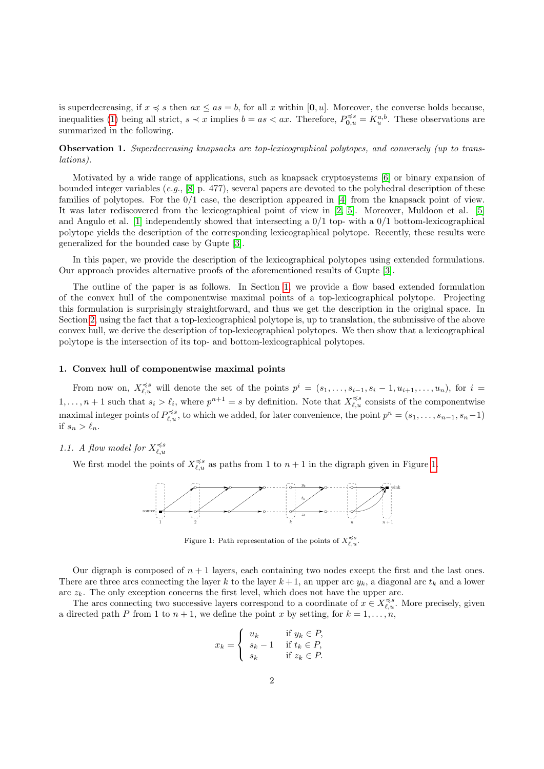is superdecreasing, if  $x \preccurlyeq s$  then  $ax \leq as = b$ , for all x within [0, u]. Moreover, the converse holds because, inequalities [\(1\)](#page-0-0) being all strict,  $s \prec x$  implies  $b = as < ax$ . Therefore,  $P_{\mathbf{0},u}^{\preccurlyeq s} = K_u^{a,b}$ . These observations are summarized in the following.

Observation 1. Superdecreasing knapsacks are top-lexicographical polytopes, and conversely (up to translations).

Motivated by a wide range of applications, such as knapsack cryptosystems [\[6\]](#page-5-3) or binary expansion of bounded integer variables (e.g.,  $[8]$  p. 477), several papers are devoted to the polyhedral description of these families of polytopes. For the 0/1 case, the description appeared in [\[4\]](#page-5-5) from the knapsack point of view. It was later rediscovered from the lexicographical point of view in [\[2,](#page-5-0) [5\]](#page-5-1). Moreover, Muldoon et al. [\[5\]](#page-5-1) and Angulo et al. [\[1\]](#page-5-6) independently showed that intersecting a  $0/1$  top- with a  $0/1$  bottom-lexicographical polytope yields the description of the corresponding lexicographical polytope. Recently, these results were generalized for the bounded case by Gupte [\[3\]](#page-5-2).

In this paper, we provide the description of the lexicographical polytopes using extended formulations. Our approach provides alternative proofs of the aforementioned results of Gupte [\[3\]](#page-5-2).

The outline of the paper is as follows. In Section [1,](#page-1-0) we provide a flow based extended formulation of the convex hull of the componentwise maximal points of a top-lexicographical polytope. Projecting this formulation is surprisingly straightforward, and thus we get the description in the original space. In Section [2,](#page-3-0) using the fact that a top-lexicographical polytope is, up to translation, the submissive of the above convex hull, we derive the description of top-lexicographical polytopes. We then show that a lexicographical polytope is the intersection of its top- and bottom-lexicographical polytopes.

#### <span id="page-1-0"></span>1. Convex hull of componentwise maximal points

From now on,  $X_{\ell,u}^{\preccurlyeq s}$  will denote the set of the points  $p^i = (s_1,\ldots,s_{i-1},s_i-1,u_{i+1},\ldots,u_n)$ , for  $i =$  $1, \ldots, n+1$  such that  $s_i > \ell_i$ , where  $p^{n+1} = s$  by definition. Note that  $X_{\ell,u}^{\preccurlyeq s}$  consists of the componentwise maximal integer points of  $P_{\ell,u}^{\preccurlyeq s}$ , to which we added, for later convenience, the point  $p^n = (s_1, \ldots, s_{n-1}, s_n-1)$ if  $s_n > \ell_n$ .

## 1.1. A flow model for  $X_{\ell,u}^{\preccurlyeq s}$

We first model the points of  $X_{\ell,u}^{\preccurlyeq s}$  as paths from 1 to  $n+1$  in the digraph given in Figure [1.](#page-1-1)



<span id="page-1-1"></span>Figure 1: Path representation of the points of  $X_{\ell,u}^{\preccurlyeq s}$ .

Our digraph is composed of  $n + 1$  layers, each containing two nodes except the first and the last ones. There are three arcs connecting the layer k to the layer  $k+1$ , an upper arc  $y_k$ , a diagonal arc  $t_k$  and a lower arc  $z_k$ . The only exception concerns the first level, which does not have the upper arc.

The arcs connecting two successive layers correspond to a coordinate of  $x \in X_{\ell,u}^{\preccurlyeq s}$ . More precisely, given a directed path P from 1 to  $n + 1$ , we define the point x by setting, for  $k = 1, \ldots, n$ ,

$$
x_k = \begin{cases} u_k & \text{if } y_k \in P, \\ s_k - 1 & \text{if } t_k \in P, \\ s_k & \text{if } z_k \in P. \end{cases}
$$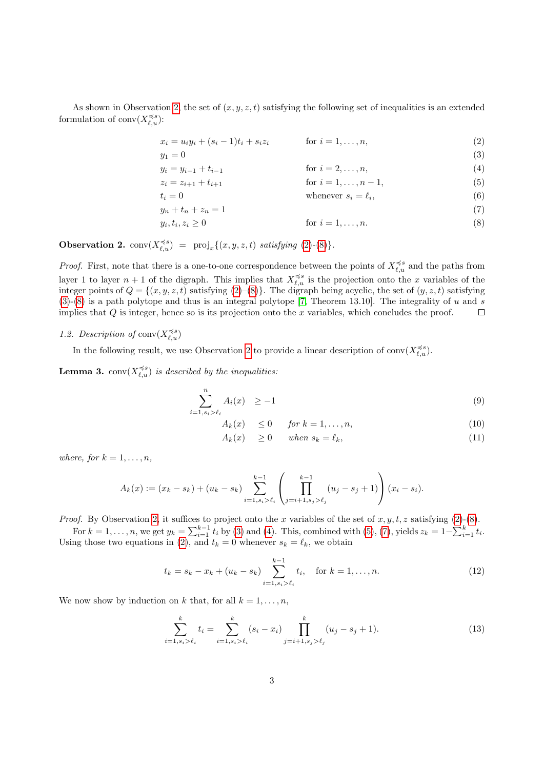As shown in Observation [2,](#page-2-0) the set of  $(x, y, z, t)$  satisfying the following set of inequalities is an extended formulation of conv $(X_{\ell,u}^{\preccurlyeq s})$ :

<span id="page-2-4"></span><span id="page-2-3"></span><span id="page-2-1"></span>
$$
x_i = u_i y_i + (s_i - 1)t_i + s_i z_i \qquad \text{for } i = 1, ..., n,
$$
 (2)

$$
y_1 = 0
$$
  
\n
$$
y_i = y_{i-1} + t_{i-1}
$$
  
\nfor  $i = 2, ..., n$ , (3)

$$
z_i = z_{i+1} + t_{i+1} \tag{5}
$$
  
\n
$$
z_i = z_{i+1} + t_{i+1} \tag{5}
$$

<span id="page-2-5"></span>
$$
t_i = 0
$$
 whenever  $s_i = \ell_i$ , (6)

<span id="page-2-6"></span><span id="page-2-2"></span>
$$
y_n + t_n + z_n = 1
$$
  
\n
$$
y_i, t_i, z_i \ge 0
$$
 for  $i = 1, ..., n$ .  
\n(7)

<span id="page-2-0"></span>**Observation 2.**  $conv(X_{\ell,u}^{\preccurlyeq s}) = \text{proj}_x \{ (x, y, z, t) \text{ satisfying (2)-(8)} \}.$  $conv(X_{\ell,u}^{\preccurlyeq s}) = \text{proj}_x \{ (x, y, z, t) \text{ satisfying (2)-(8)} \}.$  $conv(X_{\ell,u}^{\preccurlyeq s}) = \text{proj}_x \{ (x, y, z, t) \text{ satisfying (2)-(8)} \}.$  $conv(X_{\ell,u}^{\preccurlyeq s}) = \text{proj}_x \{ (x, y, z, t) \text{ satisfying (2)-(8)} \}.$  $conv(X_{\ell,u}^{\preccurlyeq s}) = \text{proj}_x \{ (x, y, z, t) \text{ satisfying (2)-(8)} \}.$ 

*Proof.* First, note that there is a one-to-one correspondence between the points of  $X_{\ell,u}^{\preccurlyeq s}$  and the paths from layer 1 to layer  $n+1$  of the digraph. This implies that  $X_{\ell,u}^{\preccurlyeq s}$  is the projection onto the x variables of the integer points of  $Q = \{(x, y, z, t)$  satisfying  $(2)$ – $(8)$ . The digraph being acyclic, the set of  $(y, z, t)$  satisfying  $(3)-(8)$  $(3)-(8)$  $(3)-(8)$  is a path polytope and thus is an integral polytope [\[7,](#page-5-7) Theorem 13.10]. The integrality of u and s implies that  $Q$  is integer, hence so is its projection onto the x variables, which concludes the proof.  $\Box$ 

## 1.2. Description of  $conv(X_{\ell,u}^{\preccurlyeq s})$

In the following result, we use Observation [2](#page-2-0) to provide a linear description of  $\text{conv}(X_{\ell,u}^{\preccurlyeq s})$ .

<span id="page-2-9"></span>**Lemma 3.**  $conv(X_{\ell,u}^{\preccurlyeq s})$  is described by the inequalities:

$$
\sum_{i=1, s_i > \ell_i}^n A_i(x) \ge -1 \tag{9}
$$

$$
A_k(x) \le 0 \quad \text{for } k = 1, \dots, n,
$$
\n<sup>(10)</sup>

<span id="page-2-8"></span>
$$
A_k(x) \ge 0 \quad when \ s_k = \ell_k,
$$
\n(11)

where, for  $k = 1, \ldots, n$ ,

$$
A_k(x) := (x_k - s_k) + (u_k - s_k) \sum_{i=1, s_i > \ell_i}^{k-1} \left( \prod_{j=i+1, s_j > \ell_j}^{k-1} (u_j - s_j + 1) \right) (x_i - s_i).
$$

*Proof.* By Observation [2,](#page-2-0) it suffices to project onto the x variables of the set of  $x, y, t, z$  satisfying [\(2\)](#page-2-1)-[\(8\)](#page-2-2).

For  $k = 1, \ldots, n$ , we get  $y_k = \sum_{i=1}^{k-1} t_i$  by [\(3\)](#page-2-3) and [\(4\)](#page-2-4). This, combined with [\(5\)](#page-2-5), [\(7\)](#page-2-6), yields  $z_k = 1 - \sum_{i=1}^{k} t_i$ . Using those two equations in [\(2\)](#page-2-1), and  $t_k = 0$  whenever  $s_k = \ell_k$ , we obtain

$$
t_k = s_k - x_k + (u_k - s_k) \sum_{i=1, s_i > \ell_i}^{k-1} t_i, \quad \text{for } k = 1, \dots, n.
$$
 (12)

We now show by induction on k that, for all  $k = 1, \ldots, n$ ,

<span id="page-2-7"></span>
$$
\sum_{i=1, s_i > \ell_i}^k t_i = \sum_{i=1, s_i > \ell_i}^k (s_i - x_i) \prod_{j=i+1, s_j > \ell_j}^k (u_j - s_j + 1).
$$
 (13)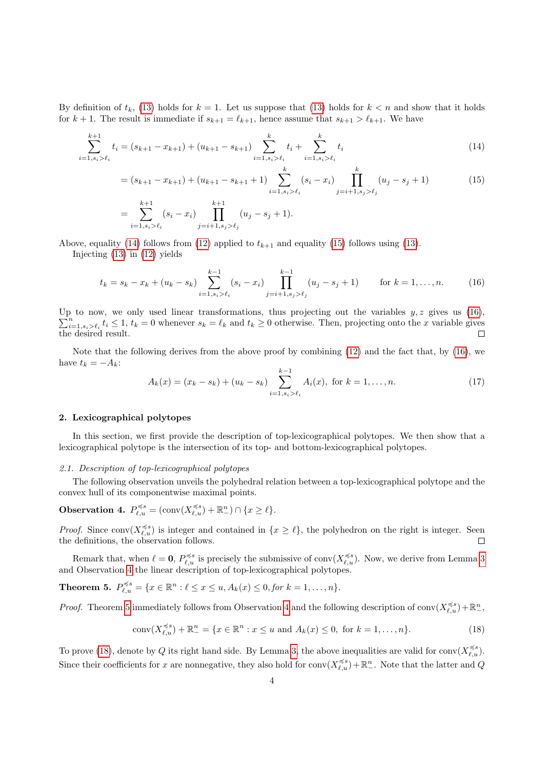By definition of  $t_k$ , [\(13\)](#page-2-7) holds for  $k = 1$ . Let us suppose that (13) holds for  $k < n$  and show that it holds for  $k + 1$ . The result is immediate if  $s_{k+1} = \ell_{k+1}$ , hence assume that  $s_{k+1} > \ell_{k+1}$ . We have

$$
\sum_{i=1, s_i > \ell_i}^{k+1} t_i = (s_{k+1} - x_{k+1}) + (u_{k+1} - s_{k+1}) \sum_{i=1, s_i > \ell_i}^{k} t_i + \sum_{i=1, s_i > \ell_i}^{k} t_i
$$
(14)

$$
= (s_{k+1} - x_{k+1}) + (u_{k+1} - s_{k+1} + 1) \sum_{i=1, s_i > \ell_i}^{k} (s_i - x_i) \prod_{j=i+1, s_j > \ell_j}^{k} (u_j - s_j + 1)
$$
(15)  

$$
= \sum_{k=1}^{k+1} (s_i - x_i) \prod_{j=i+1, s_j > \ell_j}^{k+1} (u_{i-1} - u_{i+1})
$$

<span id="page-3-3"></span><span id="page-3-2"></span><span id="page-3-1"></span>
$$
= \sum_{i=1, s_i > \ell_i}^{n+1} (s_i - x_i) \prod_{j=i+1, s_j > \ell_j}^{n+1} (u_j - s_j + 1).
$$

Above, equality [\(14\)](#page-3-1) follows from [\(12\)](#page-2-8) applied to  $t_{k+1}$  and equality [\(15\)](#page-3-2) follows using [\(13\)](#page-2-7).

Injecting [\(13\)](#page-2-7) in [\(12\)](#page-2-8) yields

$$
t_k = s_k - x_k + (u_k - s_k) \sum_{i=1, s_i > \ell_i}^{k-1} (s_i - x_i) \prod_{j=i+1, s_j > \ell_j}^{k-1} (u_j - s_j + 1) \quad \text{for } k = 1, \dots, n. \tag{16}
$$

Up to now, we only used linear transformations, thus projecting out the variables  $y, z$  gives us [\(16\)](#page-3-3),  $\sum_{i=1, s_i > \ell_i}^n t_i \leq 1$ ,  $t_k = 0$  whenever  $s_k = \ell_k$  and  $t_k \geq 0$  otherwise. Then, projecting onto the x variable gives the desired result.  $\Box$ 

Note that the following derives from the above proof by combining [\(12\)](#page-2-8) and the fact that, by [\(16\)](#page-3-3), we have  $t_k = -A_k$ :

<span id="page-3-7"></span>
$$
A_k(x) = (x_k - s_k) + (u_k - s_k) \sum_{i=1, s_i > \ell_i}^{k-1} A_i(x), \text{ for } k = 1, ..., n.
$$
 (17)

### <span id="page-3-0"></span>2. Lexicographical polytopes

In this section, we first provide the description of top-lexicographical polytopes. We then show that a lexicographical polytope is the intersection of its top- and bottom-lexicographical polytopes.

#### 2.1. Description of top-lexicographical polytopes

The following observation unveils the polyhedral relation between a top-lexicographical polytope and the convex hull of its componentwise maximal points.

# <span id="page-3-4"></span>Observation 4.  $P_{\ell,u}^{\preccurlyeq s} = (\text{conv}(X_{\ell,u}^{\preccurlyeq s}) + \mathbb{R}^n) \cap \{x \geq \ell\}.$

*Proof.* Since conv $(X_{\ell,u}^{\preccurlyeq s})$  is integer and contained in  $\{x \geq \ell\}$ , the polyhedron on the right is integer. Seen the definitions, the observation follows.

Remark that, when  $\ell = 0$ ,  $P_{\ell,u}^{\preccurlyeq s}$  is precisely the submissive of conv $(X_{\ell,u}^{\preccurlyeq s})$ . Now, we derive from Lemma [3](#page-2-9) and Observation [4](#page-3-4) the linear description of top-lexicographical polytopes.

<span id="page-3-5"></span>**Theorem 5.** 
$$
P_{\ell,u}^{\preccurlyeq s} = \{x \in \mathbb{R}^n : \ell \leq x \leq u, A_k(x) \leq 0, \text{for } k = 1, \ldots, n\}.
$$

*Proof.* Theorem [5](#page-3-5) immediately follows from Observation [4](#page-3-4) and the following description of conv $(X_{\ell,u}^{\preccurlyeq s}) + \mathbb{R}_-^n$ ,

<span id="page-3-6"></span>
$$
conv(X_{\ell,u}^{\preccurlyeq s}) + \mathbb{R}_-^n = \{ x \in \mathbb{R}^n : x \le u \text{ and } A_k(x) \le 0, \text{ for } k = 1, \dots, n \}. \tag{18}
$$

To prove [\(18\)](#page-3-6), denote by Q its right hand side. By Lemma [3,](#page-2-9) the above inequalities are valid for conv $(X_{\ell,u}^{\preccurlyeq s})$ . Since their coefficients for x are nonnegative, they also hold for  $conv(X_{\ell,u}^{\preccurlyeq s}) + \mathbb{R}_-^n$ . Note that the latter and Q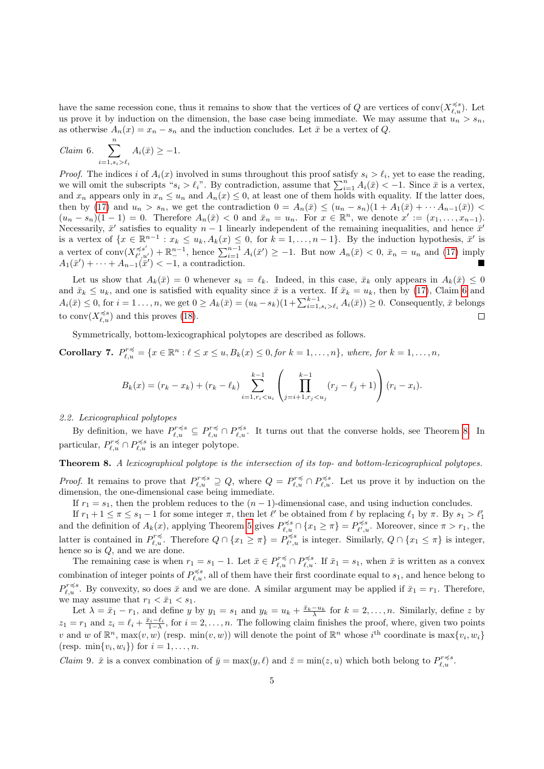have the same recession cone, thus it remains to show that the vertices of Q are vertices of conv $(X_{\ell,u}^{\preccurlyeq s})$ . Let us prove it by induction on the dimension, the base case being immediate. We may assume that  $u_n > s_n$ . as otherwise  $A_n(x) = x_n - s_n$  and the induction concludes. Let  $\bar{x}$  be a vertex of Q.

<span id="page-4-0"></span>
$$
Claim 6. \sum_{i=1, s_i > \ell_i}^{n} A_i(\bar{x}) \ge -1.
$$

*Proof.* The indices i of  $A_i(x)$  involved in sums throughout this proof satisfy  $s_i > \ell_i$ , yet to ease the reading, we will omit the subscripts " $s_i > \ell_i$ ". By contradiction, assume that  $\sum_{i=1}^n A_i(\bar{x}) < -1$ . Since  $\bar{x}$  is a vertex, and  $x_n$  appears only in  $x_n \leq u_n$  and  $A_n(x) \leq 0$ , at least one of them holds with equality. If the latter does, then by [\(17\)](#page-3-7) and  $u_n > s_n$ , we get the contradiction  $0 = A_n(\bar{x}) \leq (u_n - s_n)(1 + A_1(\bar{x}) + \cdots + A_{n-1}(\bar{x}))$  $(u_n - s_n)(1 - 1) = 0$ . Therefore  $A_n(\bar{x}) < 0$  and  $\bar{x}_n = u_n$ . For  $x \in \mathbb{R}^n$ , we denote  $x' := (x_1, \ldots, x_{n-1})$ . Necessarily,  $\bar{x}'$  satisfies to equality  $n-1$  linearly independent of the remaining inequalities, and hence  $\bar{x}'$ is a vertex of  $\{x \in \mathbb{R}^{n-1} : x_k \le u_k, A_k(x) \le 0, \text{ for } k = 1, \ldots, n-1\}$ . By the induction hypothesis,  $\bar{x}'$  is a vertex of conv $(X_{\ell}^{\preccurlyeq s'}')$  $(\bar{\mathcal{L}}_{\ell',u'}) + \mathbb{R}^{n-1}_{-}$ , hence  $\sum_{i=1}^{n-1} A_i(\bar{x}') \geq -1$ . But now  $A_n(\bar{x}) < 0$ ,  $\bar{x}_n = u_n$  and [\(17\)](#page-3-7) imply  $A_1(\bar{x}') + \cdots + A_{n-1}(\bar{x}') < -1$ , a contradiction.

Let us show that  $A_k(\bar{x}) = 0$  whenever  $s_k = \ell_k$ . Indeed, in this case,  $\bar{x}_k$  only appears in  $A_k(\bar{x}) \leq 0$ and  $\bar{x}_k \leq u_k$ , and one is satisfied with equality since  $\bar{x}$  is a vertex. If  $\bar{x}_k = u_k$ , then by [\(17\)](#page-3-7), Claim [6](#page-4-0) and  $A_i(\bar{x}) \leq 0$ , for  $i = 1 \ldots, n$ , we get  $0 \geq A_k(\bar{x}) = (u_k - s_k)(1 + \sum_{i=1, s_i > \ell_i}^{k-1} A_i(\bar{x})) \geq 0$ . Consequently,  $\bar{x}$  belongs to conv $(X_{\ell,u}^{\preccurlyeq s})$  and this proves [\(18\)](#page-3-6).  $\Box$ 

Symmetrically, bottom-lexicographical polytopes are described as follows.

<span id="page-4-2"></span>**Corollary 7.**  $P_{\ell,u}^{r\preccurlyeq} = \{x \in \mathbb{R}^n : \ell \leq x \leq u, B_k(x) \leq 0, \text{for } k = 1,\ldots,n\},\text{ where, for } k = 1,\ldots,n\}$ 

$$
B_k(x) = (r_k - x_k) + (r_k - \ell_k) \sum_{i=1, r_i < u_i}^{k-1} \left( \prod_{j=i+1, r_j < u_j}^{k-1} (r_j - \ell_j + 1) \right) (r_i - x_i).
$$

### 2.2. Lexicographical polytopes

By definition, we have  $P_{\ell,u}^{r\preccurlyeq s} \subseteq P_{\ell,u}^{r\preccurlyeq s} \cap P_{\ell,u}^{\preccurlyeq s}$ . It turns out that the converse holds, see Theorem [8.](#page-4-1) In particular,  $P_{\ell,u}^{r \preccurlyeq} \cap P_{\ell,u}^{\preccurlyeq s}$  is an integer polytope.

# <span id="page-4-1"></span>Theorem 8. A lexicographical polytope is the intersection of its top- and bottom-lexicographical polytopes.

*Proof.* It remains to prove that  $P_{\ell,u}^{r\preccurlyeq s} \supseteq Q$ , where  $Q = P_{\ell,u}^{r\preccurlyeq} \cap P_{\ell,u}^{\preccurlyeq s}$ . Let us prove it by induction on the dimension, the one-dimensional case being immediate.

If  $r_1 = s_1$ , then the problem reduces to the  $(n - 1)$ -dimensional case, and using induction concludes.

If  $r_1 + 1 \leq \pi \leq s_1 - 1$  for some integer  $\pi$ , then let  $\ell'$  be obtained from  $\ell$  by replacing  $\ell_1$  by  $\pi$ . By  $s_1 > \ell'_1$ and the definition of  $A_k(x)$ , applying Theorem [5](#page-3-5) gives  $P_{\ell,u}^{\preccurlyeq s} \cap \{x_1 \geq \pi\} = P_{\ell',u}^{\preccurlyeq s}$ . Moreover, since  $\pi > r_1$ , the latter is contained in  $P_{\ell,u}^{r\preccurlyeq}$ . Therefore  $Q \cap \{x_1 \geq \pi\} = P_{\ell',u}^{\preccurlyeq s}$  is integer. Similarly,  $Q \cap \{x_1 \leq \pi\}$  is integer, hence so is Q, and we are done.

The remaining case is when  $r_1 = s_1 - 1$ . Let  $\bar{x} \in P_{\ell,u}^{r \preccurlyeq} \cap P_{\ell,u}^{\preccurlyeq s}$ . If  $\bar{x}_1 = s_1$ , when  $\bar{x}$  is written as a convex combination of integer points of  $P_{\ell,u}^{\preccurlyeq s}$ , all of them have their first coordinate equal to  $s_1$ , and hence belong to  $P_{\ell,u}^{r\preccurlyeq s}$ . By convexity, so does  $\bar{x}$  and we are done. A similar argument may be applied if  $\bar{x}_1 = r_1$ . Therefore, we may assume that  $r_1 < \bar{x}_1 < s_1$ .

Let  $\lambda = \bar{x}_1 - r_1$ , and define y by  $y_1 = s_1$  and  $y_k = u_k + \frac{\bar{x}_k - u_k}{\lambda}$  for  $k = 2, ..., n$ . Similarly, define z by  $z_1 = r_1$  and  $z_i = \ell_i + \frac{\bar{x}_i - \ell_i}{1 - \lambda}$ , for  $i = 2, \ldots, n$ . The following claim finishes the proof, where, given two points v and w of  $\mathbb{R}^n$ , max $(v, w)$  (resp. min $(v, w)$ ) will denote the point of  $\mathbb{R}^n$  whose  $i^{\text{th}}$  coordinate is max $\{v_i, w_i\}$ (resp.  $\min\{v_i, w_i\}$ ) for  $i = 1, \ldots, n$ .

*Claim* 9.  $\bar{x}$  is a convex combination of  $\bar{y} = \max(y, \ell)$  and  $\bar{z} = \min(z, u)$  which both belong to  $P_{\ell, u}^{r \preccurlyeq s}$ .